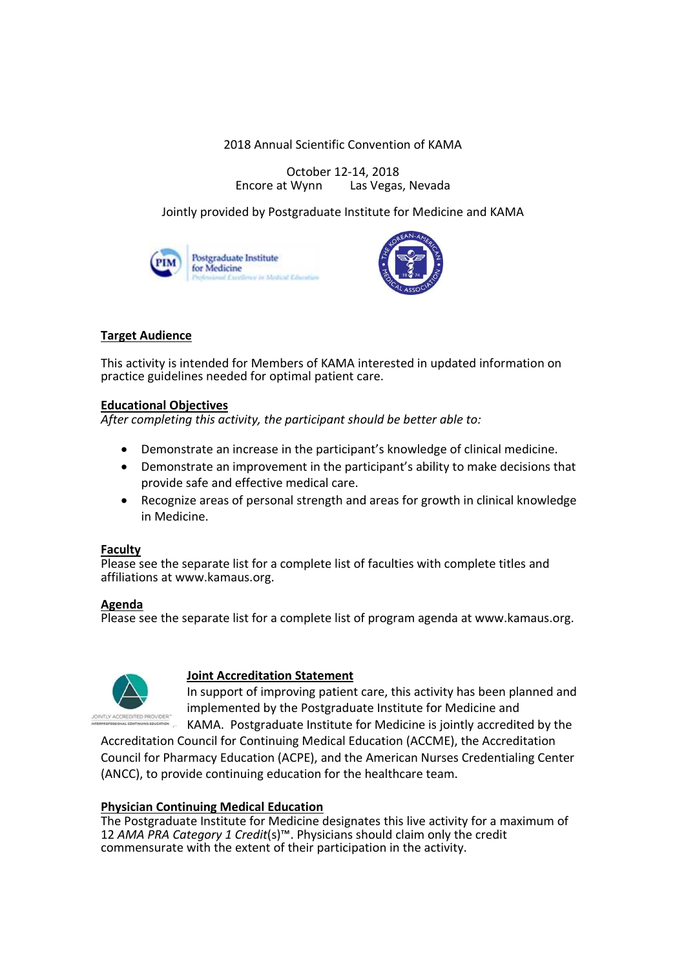2018 Annual Scientific Convention of KAMA

October 12-14, 2018<br>Encore at Wynn Las Vegas Las Vegas, Nevada

Jointly provided by Postgraduate Institute for Medicine and KAMA





# **Target Audience**

This activity is intended for Members of KAMA interested in updated information on practice guidelines needed for optimal patient care.

## **Educational Objectives**

*After completing this activity, the participant should be better able to:*

- · Demonstrate an increase in the participant's knowledge of clinical medicine.
- · Demonstrate an improvement in the participant's ability to make decisions that provide safe and effective medical care.
- · Recognize areas of personal strength and areas for growth in clinical knowledge in Medicine.

# **Faculty**

Please see the separate list for a complete list of faculties with complete titles and affiliations at www.kamaus.org.

## **Agenda**

Please see the separate list for a complete list of program agenda at www.kamaus.org.



# **Joint Accreditation Statement**

In support of improving patient care, this activity has been planned and implemented by the Postgraduate Institute for Medicine and

KAMA. Postgraduate Institute for Medicine is jointly accredited by the Accreditation Council for Continuing Medical Education (ACCME), the Accreditation

Council for Pharmacy Education (ACPE), and the American Nurses Credentialing Center (ANCC), to provide continuing education for the healthcare team.

## **Physician Continuing Medical Education**

The Postgraduate Institute for Medicine designates this live activity for a maximum of 12 *AMA PRA Category 1 Credit*(s)™. Physicians should claim only the credit commensurate with the extent of their participation in the activity.